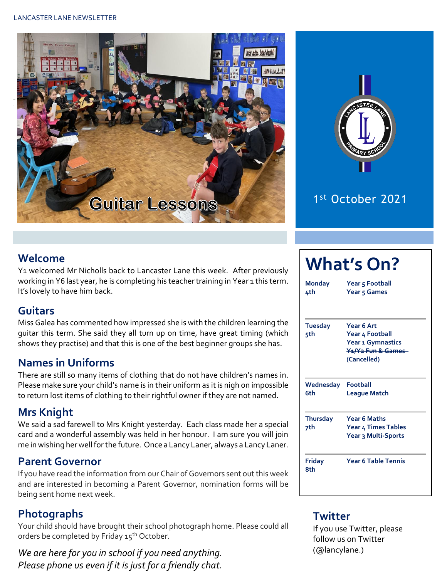



### 1 st October 2021

#### **Welcome**

Y1 welcomed Mr Nicholls back to Lancaster Lane this week. After previously working in Y6 last year, he is completing his teacher training in Year 1 this term. It's lovely to have him back.

#### **Guitars**

Miss Galea has commented how impressed she is with the children learning the guitar this term. She said they all turn up on time, have great timing (which shows they practise) and that this is one of the best beginner groups she has.

#### **Names in Uniforms**

There are still so many items of clothing that do not have children's names in. Please make sure your child's name is in their uniform as it is nigh on impossible to return lost items of clothing to their rightful owner if they are not named.

#### **Mrs Knight**

We said a sad farewell to Mrs Knight yesterday. Each class made her a special card and a wonderful assembly was held in her honour. I am sure you will join me in wishing her well for the future. Once a Lancy Laner, always a Lancy Laner.

#### **Parent Governor**

If you have read the information from our Chair of Governors sent out this week and are interested in becoming a Parent Governor, nomination forms will be being sent home next week.

#### **Photographs**

Your child should have brought their school photograph home. Please could all orders be completed by Friday 15<sup>th</sup> October.

*We are here for you in school if you need anything. Please phone us even if it is just for a friendly chat.* 

# **What's On?**

**Monday Year 5 Football 4th Year 5 Games**

| <b>Tuesday</b><br>5th     | Year 6 Art<br>Year 4 Football<br>Year 1 Gymnastics<br><del>Y1/Y2 Fun &amp; Games -</del><br>(Cancelled) |  |  |  |  |  |  |
|---------------------------|---------------------------------------------------------------------------------------------------------|--|--|--|--|--|--|
| Wednesday Football<br>6th | <b>League Match</b>                                                                                     |  |  |  |  |  |  |
| <b>Thursday</b><br>7th    | <b>Year 6 Maths</b><br>Year 4 Times Tables<br>Year 3 Multi-Sports                                       |  |  |  |  |  |  |
| Friday                    | Year 6 Table Tennis                                                                                     |  |  |  |  |  |  |

#### **Twitter**

**8th**

If you use Twitter, please follow us on Twitter (@lancylane.)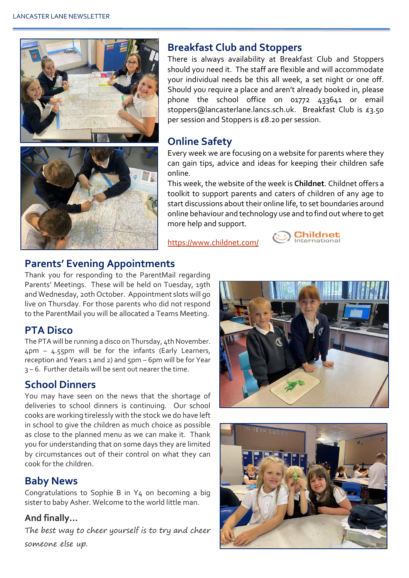

#### **Breakfast Club and Stoppers**

There is always availability at Breakfast Club and Stoppers should you need it. The staff are flexible and will accommodate your individual needs be this all week, a set night or one off. Should you require a place and aren't already booked in, please phone the school office on 01772 433641 or email stoppers@lancasterlane.lancs.sch.uk. Breakfast Club is £3.50 per session and Stoppers is £8.20 per session.

#### **Online Safety**

Every week we are focusing on a website for parents where they can gain tips, advice and ideas for keeping their children safe online.

This week, the website of the week is **Childnet**. Childnet offers a toolkit to support parents and caters of children of any age to start discussions about their online life, to set boundaries around online behaviour and technology use and to find out where to get more help and support.

<https://www.childnet.com/>



#### **Parents' Evening Appointments**

Thank you for responding to the ParentMail regarding Parents' Meetings. These will be held on Tuesday, 19th and Wednesday, 20th October. Appointment slots will go live on Thursday. For those parents who did not respond to the ParentMail you will be allocated a Teams Meeting.

#### **PTA Disco**

The PTA will be running a disco on Thursday, 4th November.  $\Delta$ pm –  $\Delta$ , 55pm will be for the infants (Early Learners, reception and Years 1 and 2) and 5pm – 6pm will be for Year 3 – 6. Further details will be sent out nearer the time.

#### **School Dinners**

You may have seen on the news that the shortage of deliveries to school dinners is continuing. Our school cooks are working tirelessly with the stock we do have left in school to give the children as much choice as possible as close to the planned menu as we can make it. Thank you for understanding that on some days they are limited by circumstances out of their control on what they can cook for the children.

#### **Baby News**

Congratulations to Sophie B in Y4 on becoming a big sister to baby Asher. Welcome to the world little man.

#### **And finally…**

The best way to cheer yourself is to try and cheer someone else up.